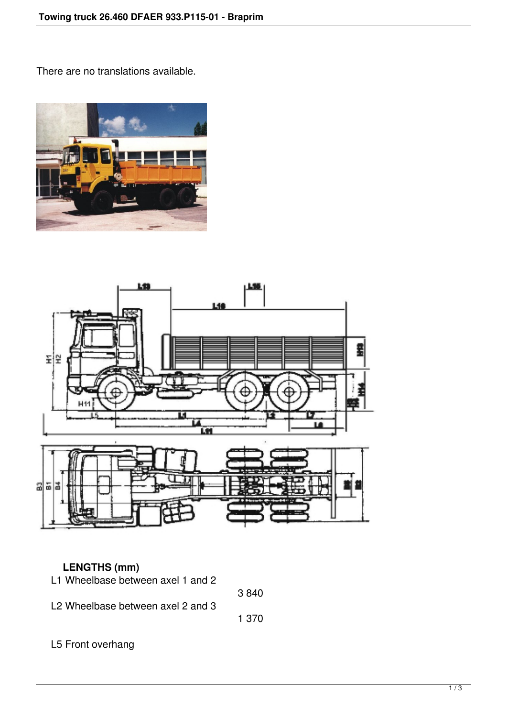There are no translations available.





## **LENGTHS (mm)**

| L1 Wheelbase between axel 1 and 2             |       |
|-----------------------------------------------|-------|
|                                               | 3840  |
| L <sub>2</sub> Wheelbase between axel 2 and 3 |       |
|                                               | 1 370 |
|                                               |       |
| L5 Front overhang                             |       |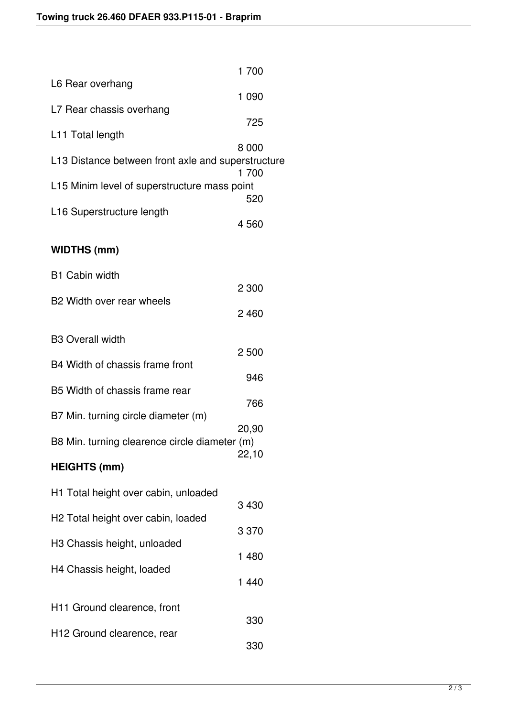|                                                    | 1 700   |
|----------------------------------------------------|---------|
| L6 Rear overhang                                   |         |
| L7 Rear chassis overhang                           | 1 0 9 0 |
| L11 Total length                                   | 725     |
|                                                    | 8 0 0 0 |
| L13 Distance between front axle and superstructure | 1 700   |
| L15 Minim level of superstructure mass point       | 520     |
| L16 Superstructure length                          |         |
|                                                    | 4560    |
| <b>WIDTHS (mm)</b>                                 |         |
| <b>B1 Cabin width</b>                              |         |
|                                                    | 2 300   |
| B <sub>2</sub> Width over rear wheels              | 2460    |
| <b>B3 Overall width</b>                            |         |
| B4 Width of chassis frame front                    | 2500    |
|                                                    | 946     |
| B5 Width of chassis frame rear                     | 766     |
| B7 Min. turning circle diameter (m)                |         |
| B8 Min. turning clearence circle diameter (m)      | 20,90   |
| <b>HEIGHTS (mm)</b>                                | 22,10   |
| H1 Total height over cabin, unloaded               |         |
|                                                    | 3 4 3 0 |
| H <sub>2</sub> Total height over cabin, loaded     | 3 3 7 0 |
| H3 Chassis height, unloaded                        |         |
| H4 Chassis height, loaded                          | 1 480   |
|                                                    | 1 4 4 0 |
| H <sub>11</sub> Ground clearence, front            |         |
| H <sub>12</sub> Ground clearence, rear             | 330     |
|                                                    | 330     |